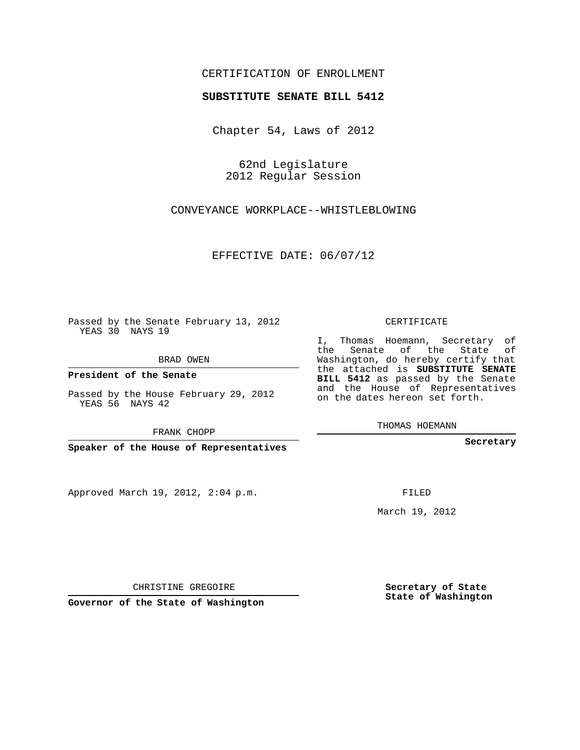## CERTIFICATION OF ENROLLMENT

## **SUBSTITUTE SENATE BILL 5412**

Chapter 54, Laws of 2012

62nd Legislature 2012 Regular Session

CONVEYANCE WORKPLACE--WHISTLEBLOWING

EFFECTIVE DATE: 06/07/12

Passed by the Senate February 13, 2012 YEAS 30 NAYS 19

BRAD OWEN

**President of the Senate**

Passed by the House February 29, 2012 YEAS 56 NAYS 42

FRANK CHOPP

**Speaker of the House of Representatives**

Approved March 19, 2012, 2:04 p.m.

CERTIFICATE

I, Thomas Hoemann, Secretary of the Senate of the State of Washington, do hereby certify that the attached is **SUBSTITUTE SENATE BILL 5412** as passed by the Senate and the House of Representatives on the dates hereon set forth.

THOMAS HOEMANN

**Secretary**

FILED

March 19, 2012

**Secretary of State State of Washington**

CHRISTINE GREGOIRE

**Governor of the State of Washington**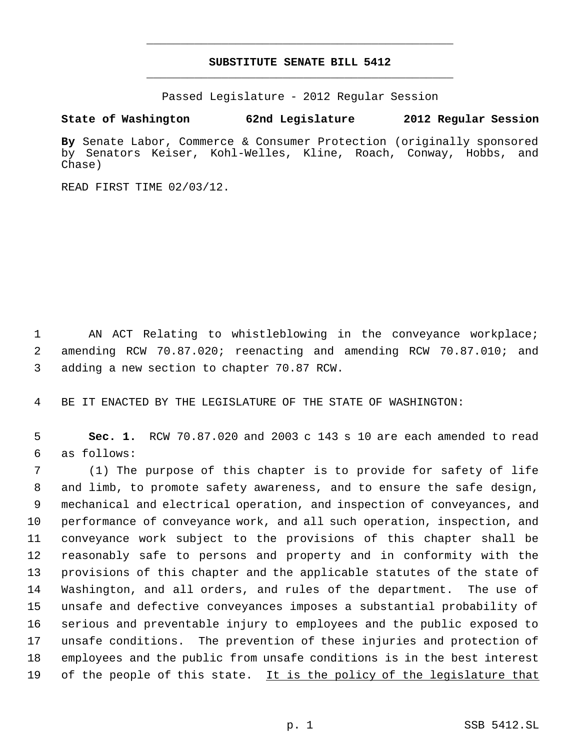## **SUBSTITUTE SENATE BILL 5412** \_\_\_\_\_\_\_\_\_\_\_\_\_\_\_\_\_\_\_\_\_\_\_\_\_\_\_\_\_\_\_\_\_\_\_\_\_\_\_\_\_\_\_\_\_

\_\_\_\_\_\_\_\_\_\_\_\_\_\_\_\_\_\_\_\_\_\_\_\_\_\_\_\_\_\_\_\_\_\_\_\_\_\_\_\_\_\_\_\_\_

Passed Legislature - 2012 Regular Session

## **State of Washington 62nd Legislature 2012 Regular Session**

**By** Senate Labor, Commerce & Consumer Protection (originally sponsored by Senators Keiser, Kohl-Welles, Kline, Roach, Conway, Hobbs, and Chase)

READ FIRST TIME 02/03/12.

 AN ACT Relating to whistleblowing in the conveyance workplace; amending RCW 70.87.020; reenacting and amending RCW 70.87.010; and adding a new section to chapter 70.87 RCW.

BE IT ENACTED BY THE LEGISLATURE OF THE STATE OF WASHINGTON:

 **Sec. 1.** RCW 70.87.020 and 2003 c 143 s 10 are each amended to read as follows:

 (1) The purpose of this chapter is to provide for safety of life and limb, to promote safety awareness, and to ensure the safe design, mechanical and electrical operation, and inspection of conveyances, and performance of conveyance work, and all such operation, inspection, and conveyance work subject to the provisions of this chapter shall be reasonably safe to persons and property and in conformity with the provisions of this chapter and the applicable statutes of the state of Washington, and all orders, and rules of the department. The use of unsafe and defective conveyances imposes a substantial probability of serious and preventable injury to employees and the public exposed to unsafe conditions. The prevention of these injuries and protection of employees and the public from unsafe conditions is in the best interest 19 of the people of this state. It is the policy of the legislature that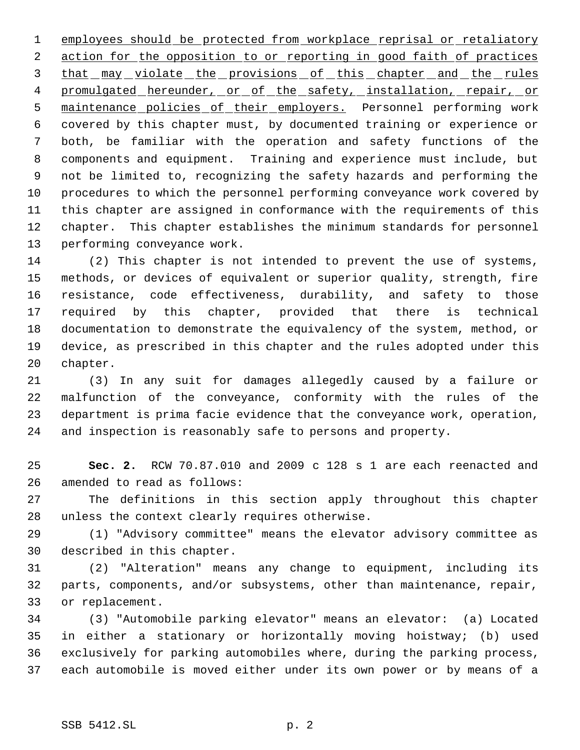employees should be protected from workplace reprisal or retaliatory 2 action for the opposition to or reporting in good faith of practices 3 that may violate the provisions of this chapter and the rules 4 promulgated hereunder, or of the safety, installation, repair, or maintenance policies of their employers. Personnel performing work covered by this chapter must, by documented training or experience or both, be familiar with the operation and safety functions of the components and equipment. Training and experience must include, but not be limited to, recognizing the safety hazards and performing the procedures to which the personnel performing conveyance work covered by this chapter are assigned in conformance with the requirements of this chapter. This chapter establishes the minimum standards for personnel performing conveyance work.

 (2) This chapter is not intended to prevent the use of systems, methods, or devices of equivalent or superior quality, strength, fire resistance, code effectiveness, durability, and safety to those required by this chapter, provided that there is technical documentation to demonstrate the equivalency of the system, method, or device, as prescribed in this chapter and the rules adopted under this chapter.

 (3) In any suit for damages allegedly caused by a failure or malfunction of the conveyance, conformity with the rules of the department is prima facie evidence that the conveyance work, operation, and inspection is reasonably safe to persons and property.

 **Sec. 2.** RCW 70.87.010 and 2009 c 128 s 1 are each reenacted and amended to read as follows:

 The definitions in this section apply throughout this chapter unless the context clearly requires otherwise.

 (1) "Advisory committee" means the elevator advisory committee as described in this chapter.

 (2) "Alteration" means any change to equipment, including its parts, components, and/or subsystems, other than maintenance, repair, or replacement.

 (3) "Automobile parking elevator" means an elevator: (a) Located in either a stationary or horizontally moving hoistway; (b) used exclusively for parking automobiles where, during the parking process, each automobile is moved either under its own power or by means of a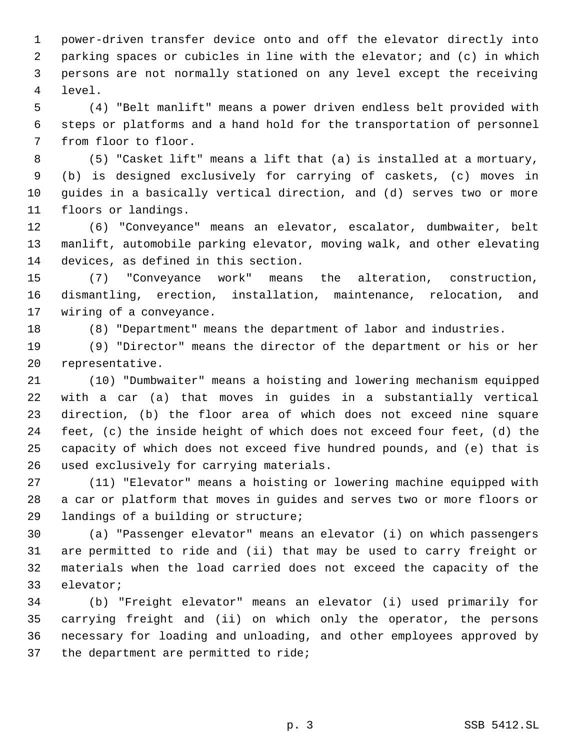power-driven transfer device onto and off the elevator directly into parking spaces or cubicles in line with the elevator; and (c) in which persons are not normally stationed on any level except the receiving level.

 (4) "Belt manlift" means a power driven endless belt provided with steps or platforms and a hand hold for the transportation of personnel from floor to floor.

 (5) "Casket lift" means a lift that (a) is installed at a mortuary, (b) is designed exclusively for carrying of caskets, (c) moves in guides in a basically vertical direction, and (d) serves two or more floors or landings.

 (6) "Conveyance" means an elevator, escalator, dumbwaiter, belt manlift, automobile parking elevator, moving walk, and other elevating devices, as defined in this section.

 (7) "Conveyance work" means the alteration, construction, dismantling, erection, installation, maintenance, relocation, and wiring of a conveyance.

(8) "Department" means the department of labor and industries.

 (9) "Director" means the director of the department or his or her representative.

 (10) "Dumbwaiter" means a hoisting and lowering mechanism equipped with a car (a) that moves in guides in a substantially vertical direction, (b) the floor area of which does not exceed nine square feet, (c) the inside height of which does not exceed four feet, (d) the capacity of which does not exceed five hundred pounds, and (e) that is used exclusively for carrying materials.

 (11) "Elevator" means a hoisting or lowering machine equipped with a car or platform that moves in guides and serves two or more floors or landings of a building or structure;

 (a) "Passenger elevator" means an elevator (i) on which passengers are permitted to ride and (ii) that may be used to carry freight or materials when the load carried does not exceed the capacity of the elevator;

 (b) "Freight elevator" means an elevator (i) used primarily for carrying freight and (ii) on which only the operator, the persons necessary for loading and unloading, and other employees approved by the department are permitted to ride;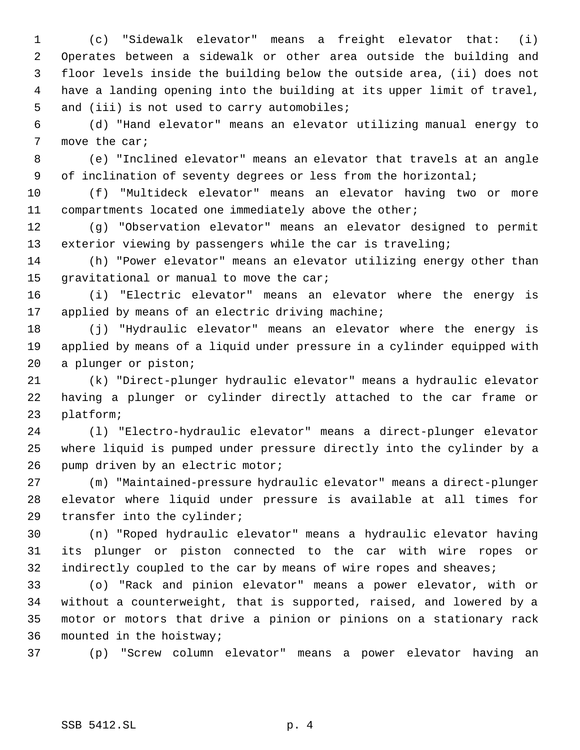(c) "Sidewalk elevator" means a freight elevator that: (i) Operates between a sidewalk or other area outside the building and floor levels inside the building below the outside area, (ii) does not have a landing opening into the building at its upper limit of travel, 5 and (iii) is not used to carry automobiles;

 (d) "Hand elevator" means an elevator utilizing manual energy to move the car;

 (e) "Inclined elevator" means an elevator that travels at an angle of inclination of seventy degrees or less from the horizontal;

 (f) "Multideck elevator" means an elevator having two or more compartments located one immediately above the other;

 (g) "Observation elevator" means an elevator designed to permit exterior viewing by passengers while the car is traveling;

 (h) "Power elevator" means an elevator utilizing energy other than 15 gravitational or manual to move the car;

 (i) "Electric elevator" means an elevator where the energy is applied by means of an electric driving machine;

 (j) "Hydraulic elevator" means an elevator where the energy is applied by means of a liquid under pressure in a cylinder equipped with a plunger or piston;

 (k) "Direct-plunger hydraulic elevator" means a hydraulic elevator having a plunger or cylinder directly attached to the car frame or platform;

 (l) "Electro-hydraulic elevator" means a direct-plunger elevator where liquid is pumped under pressure directly into the cylinder by a 26 pump driven by an electric motor;

 (m) "Maintained-pressure hydraulic elevator" means a direct-plunger elevator where liquid under pressure is available at all times for transfer into the cylinder;

 (n) "Roped hydraulic elevator" means a hydraulic elevator having its plunger or piston connected to the car with wire ropes or 32 indirectly coupled to the car by means of wire ropes and sheaves;

 (o) "Rack and pinion elevator" means a power elevator, with or without a counterweight, that is supported, raised, and lowered by a motor or motors that drive a pinion or pinions on a stationary rack mounted in the hoistway;

(p) "Screw column elevator" means a power elevator having an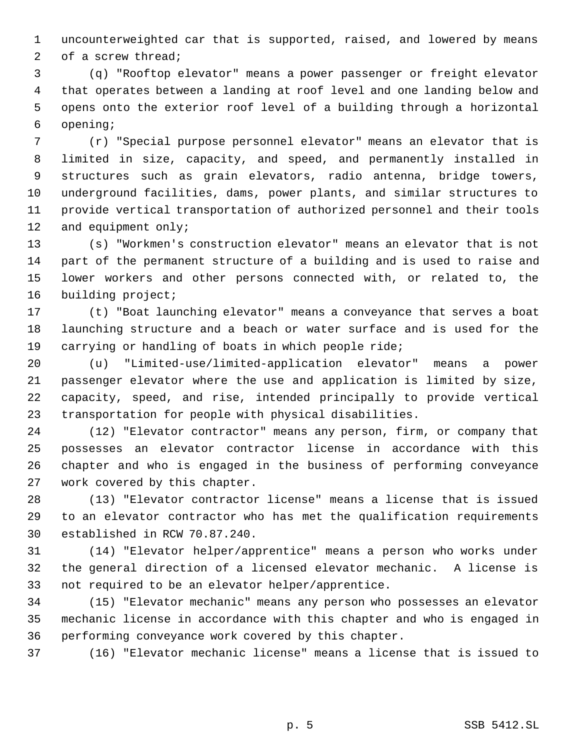uncounterweighted car that is supported, raised, and lowered by means of a screw thread;

 (q) "Rooftop elevator" means a power passenger or freight elevator that operates between a landing at roof level and one landing below and opens onto the exterior roof level of a building through a horizontal opening;

 (r) "Special purpose personnel elevator" means an elevator that is limited in size, capacity, and speed, and permanently installed in structures such as grain elevators, radio antenna, bridge towers, underground facilities, dams, power plants, and similar structures to provide vertical transportation of authorized personnel and their tools 12 and equipment only;

 (s) "Workmen's construction elevator" means an elevator that is not part of the permanent structure of a building and is used to raise and lower workers and other persons connected with, or related to, the 16 building project;

 (t) "Boat launching elevator" means a conveyance that serves a boat launching structure and a beach or water surface and is used for the carrying or handling of boats in which people ride;

 (u) "Limited-use/limited-application elevator" means a power passenger elevator where the use and application is limited by size, capacity, speed, and rise, intended principally to provide vertical transportation for people with physical disabilities.

 (12) "Elevator contractor" means any person, firm, or company that possesses an elevator contractor license in accordance with this chapter and who is engaged in the business of performing conveyance work covered by this chapter.

 (13) "Elevator contractor license" means a license that is issued to an elevator contractor who has met the qualification requirements established in RCW 70.87.240.

 (14) "Elevator helper/apprentice" means a person who works under the general direction of a licensed elevator mechanic. A license is not required to be an elevator helper/apprentice.

 (15) "Elevator mechanic" means any person who possesses an elevator mechanic license in accordance with this chapter and who is engaged in performing conveyance work covered by this chapter.

(16) "Elevator mechanic license" means a license that is issued to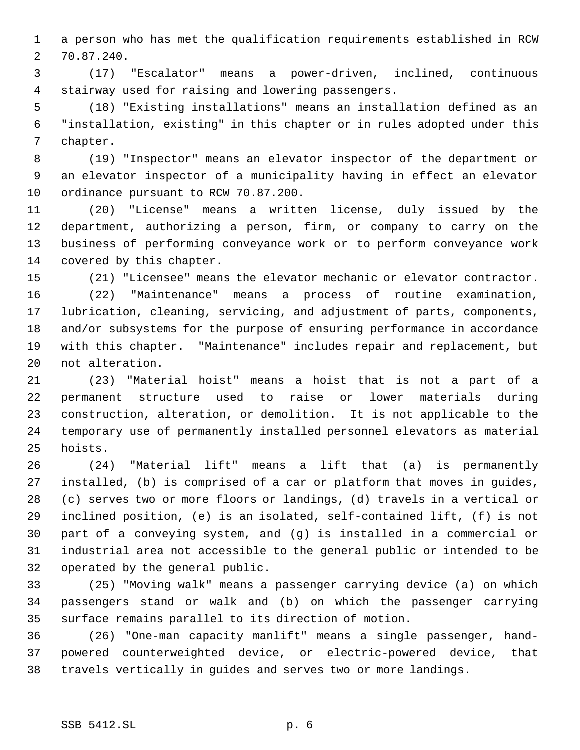a person who has met the qualification requirements established in RCW 70.87.240.

 (17) "Escalator" means a power-driven, inclined, continuous stairway used for raising and lowering passengers.

 (18) "Existing installations" means an installation defined as an "installation, existing" in this chapter or in rules adopted under this chapter.

 (19) "Inspector" means an elevator inspector of the department or an elevator inspector of a municipality having in effect an elevator ordinance pursuant to RCW 70.87.200.

 (20) "License" means a written license, duly issued by the department, authorizing a person, firm, or company to carry on the business of performing conveyance work or to perform conveyance work covered by this chapter.

(21) "Licensee" means the elevator mechanic or elevator contractor.

 (22) "Maintenance" means a process of routine examination, lubrication, cleaning, servicing, and adjustment of parts, components, and/or subsystems for the purpose of ensuring performance in accordance with this chapter. "Maintenance" includes repair and replacement, but not alteration.

 (23) "Material hoist" means a hoist that is not a part of a permanent structure used to raise or lower materials during construction, alteration, or demolition. It is not applicable to the temporary use of permanently installed personnel elevators as material hoists.

 (24) "Material lift" means a lift that (a) is permanently installed, (b) is comprised of a car or platform that moves in guides, (c) serves two or more floors or landings, (d) travels in a vertical or inclined position, (e) is an isolated, self-contained lift, (f) is not part of a conveying system, and (g) is installed in a commercial or industrial area not accessible to the general public or intended to be operated by the general public.

 (25) "Moving walk" means a passenger carrying device (a) on which passengers stand or walk and (b) on which the passenger carrying surface remains parallel to its direction of motion.

 (26) "One-man capacity manlift" means a single passenger, hand- powered counterweighted device, or electric-powered device, that travels vertically in guides and serves two or more landings.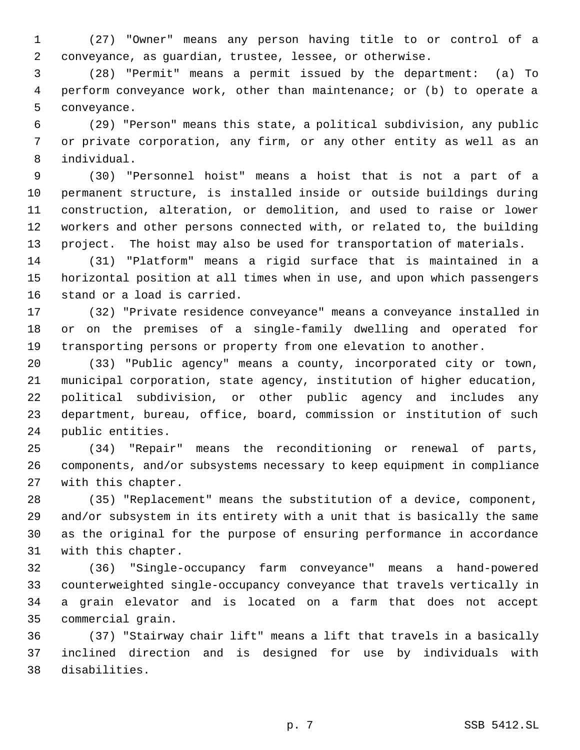(27) "Owner" means any person having title to or control of a conveyance, as guardian, trustee, lessee, or otherwise.

 (28) "Permit" means a permit issued by the department: (a) To perform conveyance work, other than maintenance; or (b) to operate a conveyance.

 (29) "Person" means this state, a political subdivision, any public or private corporation, any firm, or any other entity as well as an individual.

 (30) "Personnel hoist" means a hoist that is not a part of a permanent structure, is installed inside or outside buildings during construction, alteration, or demolition, and used to raise or lower workers and other persons connected with, or related to, the building project. The hoist may also be used for transportation of materials.

 (31) "Platform" means a rigid surface that is maintained in a horizontal position at all times when in use, and upon which passengers stand or a load is carried.

 (32) "Private residence conveyance" means a conveyance installed in or on the premises of a single-family dwelling and operated for transporting persons or property from one elevation to another.

 (33) "Public agency" means a county, incorporated city or town, municipal corporation, state agency, institution of higher education, political subdivision, or other public agency and includes any department, bureau, office, board, commission or institution of such public entities.

 (34) "Repair" means the reconditioning or renewal of parts, components, and/or subsystems necessary to keep equipment in compliance with this chapter.

 (35) "Replacement" means the substitution of a device, component, and/or subsystem in its entirety with a unit that is basically the same as the original for the purpose of ensuring performance in accordance with this chapter.

 (36) "Single-occupancy farm conveyance" means a hand-powered counterweighted single-occupancy conveyance that travels vertically in a grain elevator and is located on a farm that does not accept commercial grain.

 (37) "Stairway chair lift" means a lift that travels in a basically inclined direction and is designed for use by individuals with disabilities.